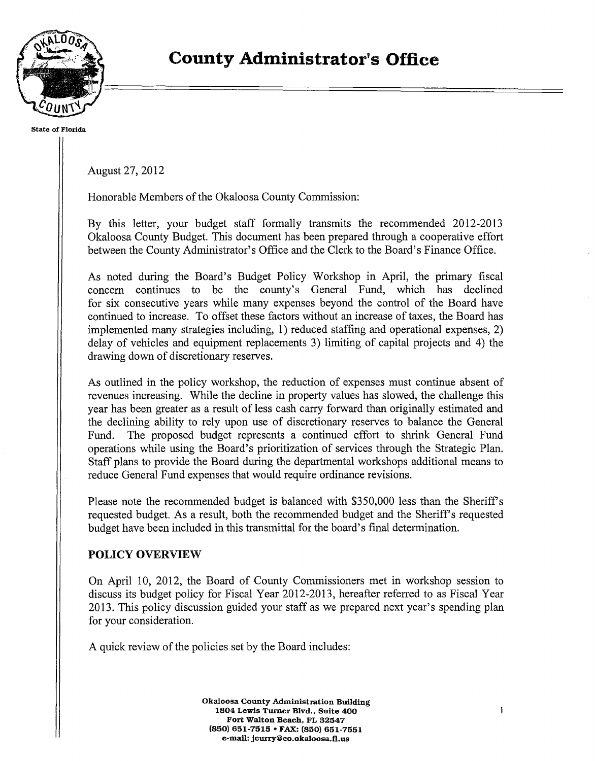

**State of Florida** 

August 27, 2012

Honorable Members of the Okaloosa County Commission:

By this letter, your budget staff formally transmits the recommended 2012-2013 Okaloosa County Budget. This document has been prepared through a cooperative effort between the County Administrator's Office and the Clerk to the Board's Finance Office.

As noted during the Board's Budget Policy Workshop in April, the primary fiscal concern continues to be the county's General Fund, which has declined for six consecutive years while many expenses beyond the control of the Board have continued to increase. To offset these factors without an increase of taxes, the Board has implemented many strategies including, 1) reduced staffing and operational expenses, 2) delay of vehicles and equipment replacements 3) limiting of capital projects and 4) the drawing down of discretionary reserves.

As outlined in the policy workshop, the reduction of expenses must continue absent of revenues increasing. While the decline in property values has slowed, the challenge this year has been greater as a result of less cash carry forward than originally estimated and the declining ability to rely upon use of discretionary reserves to balance the General Fund. The proposed budget represents a continued effort to shrink General Fund operations while using the Board's prioritization of services through the Strategic Plan. Staff plans to provide the Board during the departmental workshops additional means to reduce General Fund expenses that would require ordinance revisions.

Please note the recommended budget is balanced with \$350,000 less than the Sheriff's requested budget. As a result, both the recommended budget and the Sheriff's requested budget have been included in this transmittal for the board's final determination.

## **POLICY OVERVIEW**

On April 10, 2012, the Board of County Commissioners met in workshop session to discuss its budget policy for Fiscal Year 2012-2013, hereafter referred to as Fiscal Year 2013. This policy discussion guided your staff as we prepared next year's spending plan for your consideration.

A quick review of the policies set by the Board includes:

**Okaloosa County Administration Building 1804 Lewis Turner Blvd., Suite 400 Fort Walton Beach, FL 32547 (850) 651-7515** • **FAX: (850) 651-7551 e-mail: jcurry@co.okaloosa.fl.us**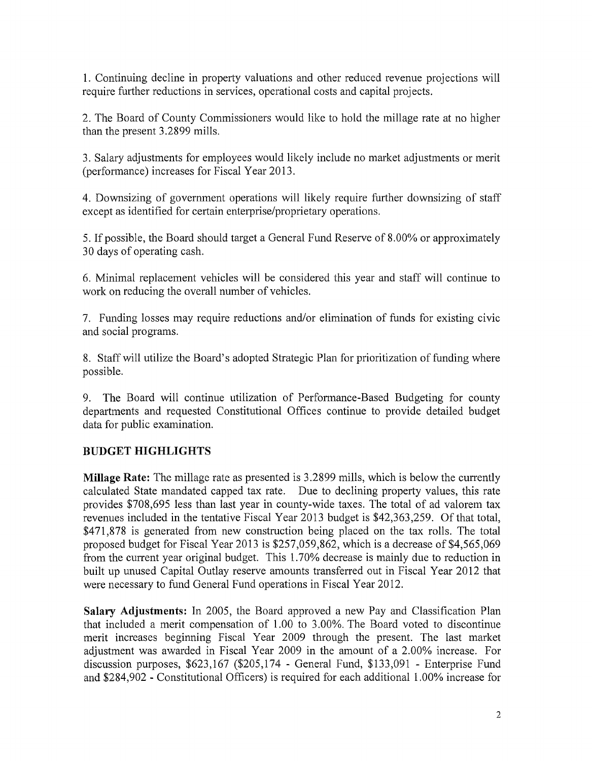1. Continuing decline in property valuations and other reduced revenue projections will require further reductions in services, operational costs and capital projects.

2. The Board of County Commissioners would like to hold the millage rate at no higher than the present 3.2899 mills.

3. Salary adjustments for employees would likely include no market adjustments or merit (performance) increases for Fiscal Year 2013.

4. Downsizing of government operations will likely require further downsizing of staff except as identified for certain enterprise/proprietary operations.

5. If possible, the Board should target a General Fund Reserve of 8.00% or approximately 30 days of operating cash.

6. Minimal replacement vehicles will be considered this year and staff will continue to work on reducing the overall number of vehicles.

7. Funding losses may require reductions and/or elimination of funds for existing civic and social programs.

8. Staff will utilize the Board's adopted Strategic Plan for prioritization of funding where possible.

9. The Board will continue utilization of Performance-Based Budgeting for county departments and requested Constitutional Offices continue to provide detailed budget data for public examination.

## **BUDGET HIGHLIGHTS**

**Millage Rate:** The millage rate as presented is 3 .2899 mills, which is below the currently calculated State mandated capped tax rate. Due to declining property values, this rate provides \$708,695 less than last year in county-wide taxes. The total of ad valorem tax revenues included in the tentative Fiscal Year 2013 budget is \$42,363,259. Of that total, \$471,878 is generated from new construction being placed on the tax rolls. The total proposed budget for Fiscal Year 2013 is \$257,059,862, which is a decrease of \$4,565,069 from the current year original budget. This 1.70% decrease is mainly due to reduction in built up unused Capital Outlay reserve amounts transferred out in Fiscal Year 2012 that were necessary to fund General Fund operations in Fiscal Year 2012.

**Salary Adjustments:** In 2005, the Board approved a new Pay and Classification Plan that included a merit compensation of 1.00 to 3.00%. The Board voted to discontinue merit increases beginning Fiscal Year 2009 through the present. The last market adjustment was awarded in Fiscal Year 2009 in the amount of a 2.00% increase. For discussion purposes, \$623,167 (\$205,174 - General Fund, \$133,091 - Enterprise Fund and \$284,902 - Constitutional Officers) is required for each additional 1.00% increase for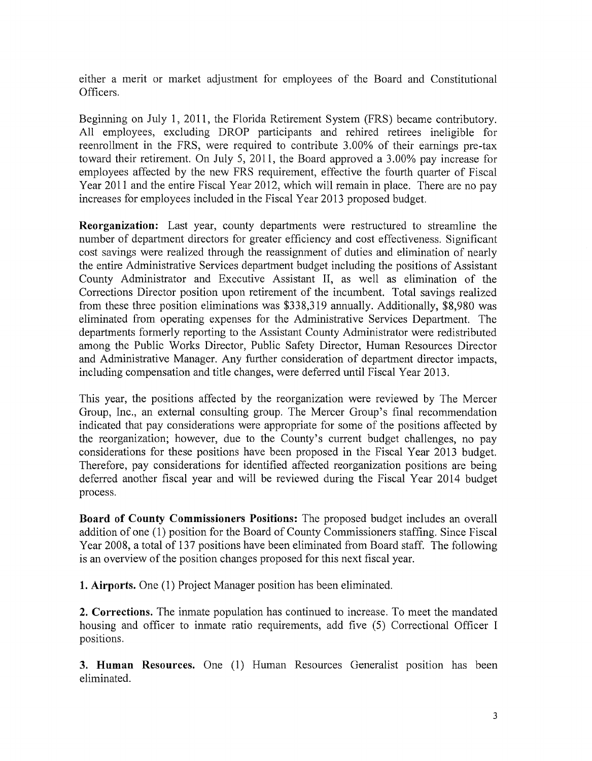either a merit or market adjustment for employees of the Board and Constitutional Officers.

Beginning on July 1, 2011, the Florida Retirement System (FRS) became contributory. All employees, excluding DROP participants and rehired retirees ineligible for reenrollment in the FRS, were required to contribute 3.00% of their earnings pre-tax toward their retirement. On July 5, 2011, the Board approved a 3.00% pay increase for employees affected by the new FRS requirement, effective the fourth quarter of Fiscal Year 2011 and the entire Fiscal Year 2012, which will remain in place. There are no pay increases for employees included in the Fiscal Year 2013 proposed budget.

**Reorganization:** Last year, county departments were restructured to streamline the number of department directors for greater efficiency and cost effectiveness. Significant cost savings were realized through the reassignment of duties and elimination of nearly the entire Administrative Services department budget including the positions of Assistant County Administrator and Executive Assistant II, as well as elimination of the Corrections Director position upon retirement of the incumbent. Total savings realized from these three position eliminations was \$338,319 annually. Additionally, \$8,980 was eliminated from operating expenses for the Administrative Services Department. The departments formerly reporting to the Assistant County Administrator were redistributed among the Public Works Director, Public Safety Director, Human Resources Director and Administrative Manager. Any further consideration of department director impacts, including compensation and title changes, were deferred until Fiscal Year 2013.

This year, the positions affected by the reorganization were reviewed by The Mercer Group, Inc., an external consulting group. The Mercer Group's final recommendation indicated that pay considerations were appropriate for some of the positions affected by the reorganization; however, due to the County's current budget challenges, no pay considerations for these positions have been proposed in the Fiscal Year 2013 budget. Therefore, pay considerations for identified affected reorganization positions are being deferred another fiscal year and will be reviewed during the Fiscal Year 2014 budget process.

**Board of County Commissioners Positions:** The proposed budget includes an overall addition of one (1) position for the Board of County Commissioners staffing. Since Fiscal Year 2008, a total of 137 positions have been eliminated from Board staff. The following is an overview of the position changes proposed for this next fiscal year.

**1. Airports.** One (1) Project Manager position has been eliminated.

**2. Corrections.** The inmate population has continued to increase. To meet the mandated housing and officer to inmate ratio requirements, add five (5) Correctional Officer I positions.

**3. Human Resources.** One (1) Human Resources Generalist position has been eliminated.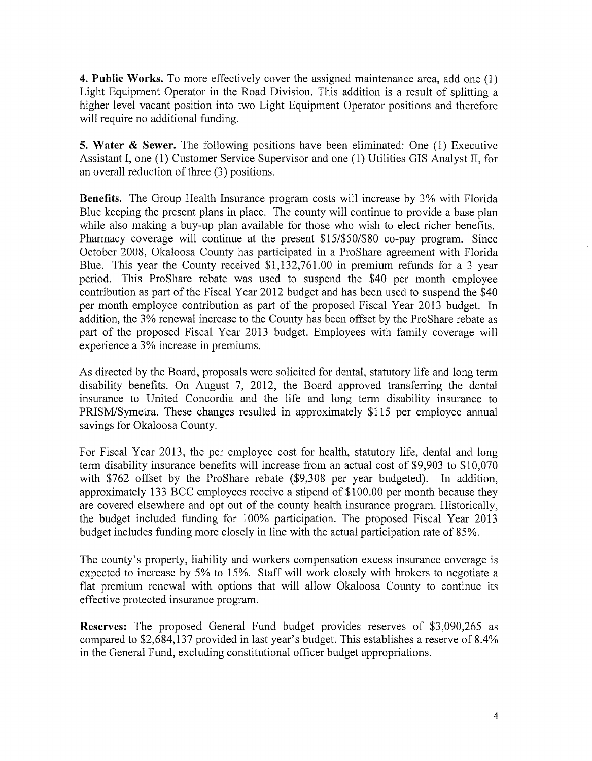**4. Public Works.** To more effectively cover the assigned maintenance area, add one (1) Light Equipment Operator in the Road Division. This addition is a result of splitting a higher level vacant position into two Light Equipment Operator positions and therefore will require no additional funding.

**5. Water & Sewer.** The following positions have been eliminated: One (1) Executive Assistant I, one (1) Customer Service Supervisor and one (1) Utilities GIS Analyst II, for an overall reduction of three (3) positions.

**Benefits.** The Group Health Insurance program costs will increase by 3% with Florida Blue keeping the present plans in place. The county will continue to provide a base plan while also making a buy-up plan available for those who wish to elect richer benefits. Pharmacy coverage will continue at the present \$15/\$50/\$80 co-pay program. Since October 2008, Okaloosa County has participated in a ProShare agreement with Florida Blue. This year the County received \$1,132,761.00 in premium refunds for a 3 year period. This ProShare rebate was used to suspend the \$40 per month employee contribution as part of the Fiscal Year 2012 budget and has been used to suspend the \$40 per month employee contribution as part of the proposed Fiscal Year 2013 budget. In addition, the 3% renewal increase to the County has been offset by the ProShare rebate as part of the proposed Fiscal Year 2013 budget. Employees with family coverage will experience a 3% increase in premiums.

As directed by the Board, proposals were solicited for dental, statutory life and long term disability benefits. On August 7, 2012, the Board approved transferring the dental insurance to United Concordia and the life and long term disability insurance to PRISM/Symetra. These changes resulted in approximately \$115 per employee annual savings for Okaloosa County.

For Fiscal Year 2013, the per employee cost for health, statutory life, dental and long term disability insurance benefits will increase from an actual cost of \$9,903 to \$10,070 with \$762 offset by the ProShare rebate (\$9,308 per year budgeted). In addition, approximately 13 3 BCC employees receive a stipend of \$100.00 per month because they are covered elsewhere and opt out of the county health insurance program. Historically, the budget included funding for 100% participation. The proposed Fiscal Year 2013 budget includes funding more closely in line with the actual participation rate of 85%.

The county's property, liability and workers compensation excess insurance coverage is expected to increase by 5% to 15%. Staff will work closely with brokers to negotiate a flat premium renewal with options that will allow Okaloosa County to continue its effective protected insurance program.

**Reserves:** The proposed General Fund budget provides reserves of \$3,090,265 as compared to \$2,684,137 provided in last year's budget. This establishes a reserve of 8.4% in the General Fund, excluding constitutional officer budget appropriations.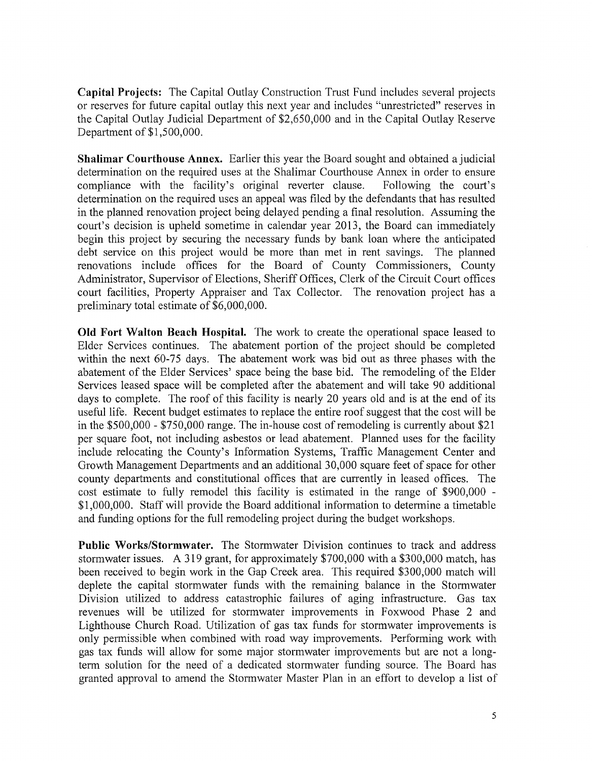**Capital Projects:** The Capital Outlay Construction Trust Fund includes several projects or reserves for future capital outlay this next year and includes "unrestricted" reserves in the Capital Outlay Judicial Department of \$2,650,000 and in the Capital Outlay Reserve Department of \$1,500,000.

**Shalimar Courthouse Annex.** Earlier this year the Board sought and obtained a judicial determination on the required uses at the Shalimar Courthouse Annex in order to ensure compliance with the facility's original reverter clause. Following the court's determination on the required uses an appeal was filed by the defendants that has resulted in the planned renovation project being delayed pending a final resolution. Assuming the court's decision is upheld sometime in calendar year 2013, the Board can immediately begin this project by securing the necessary funds by bank loan where the anticipated debt service on this project would be more than met in rent savings. The planned renovations include offices for the Board of County Commissioners, County Administrator, Supervisor of Elections, Sheriff Offices, Clerk of the Circuit Court offices court facilities, Property Appraiser and Tax Collector. The renovation project has a preliminary total estimate of \$6,000,000.

**Old Fort Walton Beach Hospital.** The work to create the operational space leased to Elder Services continues. The abatement portion of the project should be completed within the next 60-75 days. The abatement work was bid out as three phases with the abatement of the Elder Services' space being the base bid. The remodeling of the Elder Services leased space will be completed after the abatement and will take 90 additional days to complete. The roof of this facility is nearly 20 years old and is at the end of its useful life. Recent budget estimates to replace the entire roof suggest that the cost will be in the \$500,000 - \$750,000 range. The in-house cost of remodeling is currently about \$21 per square foot, not including asbestos or lead abatement. Planned uses for the facility include relocating the County's Information Systems, Traffic Management Center and Growth Management Departments and an additional 30,000 square feet of space for other county departments and constitutional offices that are currently in leased offices. The cost estimate to fully remodel this facility is estimated in the range of \$900,000 \$1,000,000. Staff will provide the Board additional information to determine a timetable and funding options for the full remodeling project during the budget workshops.

**Public Works/Stormwater.** The Stormwater Division continues to track and address stormwater issues. A 319 grant, for approximately \$700,000 with a \$300,000 match, has been received to begin work in the Gap Creek area. This required \$300,000 match will deplete the capital stormwater funds with the remaining balance in the Stormwater Division utilized to address catastrophic failures of aging infrastructure. Gas tax revenues will be utilized for stormwater improvements in Foxwood Phase 2 and Lighthouse Church Road. Utilization of gas tax funds for stormwater improvements is only permissible when combined with road way improvements. Performing work with gas tax funds will allow for some major stormwater improvements but are not a longterm solution for the need of a dedicated stormwater funding source. The Board has granted approval to amend the Stormwater Master Plan in an effort to develop a list of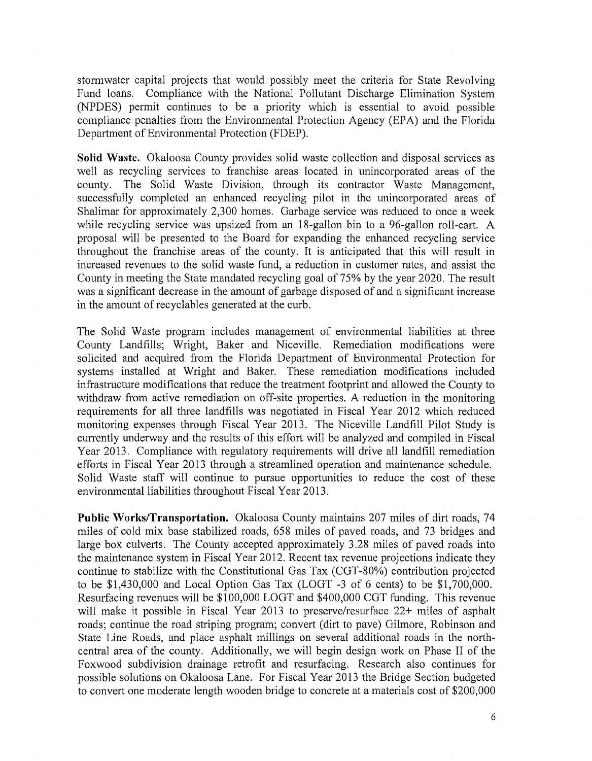stormwater capital projects that would possibly meet the criteria for State Revolving Fund loans. Compliance with the National Pollutant Discharge Elimination System (NPDES) permit continues to be a priority which is essential to avoid possible compliance penalties from the Environmental Protection Agency (EPA) and the Florida Department of Environmental Protection (FDEP).

**Solid Waste.** Okaloosa County provides solid waste collection and disposal services as well as recycling services to franchise areas located in unincorporated areas of the county. The Solid Waste Division, through its contractor Waste Management, successfully completed an enhanced recycling pilot in the unincorporated areas of Shalimar for approximately 2,300 homes. Garbage service was reduced to once a week while recycling service was upsized from an 18-gallon bin to a 96-gallon roll-cart. A proposal will be presented to the Board for expanding the enhanced recycling service throughout the franchise areas of the county. It is anticipated that this will result in increased revenues to the solid waste fund, a reduction in customer rates, and assist the County in meeting the State mandated recycling goal of 75% by the year 2020. The result was a significant decrease in the amount of garbage disposed of and a significant increase in the amount of recyclables generated at the curb.

The Solid Waste program includes management of environmental liabilities at three County Landfills; Wright, Baker and Niceville. Remediation modifications were solicited and acquired from the Florida Department of Environmental Protection for systems installed at Wright and Baker. These remediation modifications included infrastructure modifications that reduce the treatment footprint and allowed the County to withdraw from active remediation on off-site properties. A reduction in the monitoring requirements for all three landfills was negotiated in Fiscal Year 2012 which reduced monitoring expenses through Fiscal Year 2013. The Niceville Landfill Pilot Study is currently underway and the results of this effort will be analyzed and compiled in Fiscal Year 2013. Compliance with regulatory requirements will drive all landfill remediation efforts in Fiscal Year 2013 through a streamlined operation and maintenance schedule. Solid Waste staff will continue to pursue opportunities to reduce the cost of these environmental liabilities throughout Fiscal Year 2013.

**Public Works/Transportation.** Okaloosa County maintains 207 miles of dirt roads, 74 miles of cold mix base stabilized roads, 658 miles of paved roads, and 73 bridges and large box culverts. The County accepted approximately 3.28 miles of paved roads into the maintenance system in Fiscal Year 2012. Recent tax revenue projections indicate they continue to stabilize with the Constitutional Gas Tax (CGT-80%) contribution projected to be \$1,430,000 and Local Option Gas Tax (LOGT -3 of 6 cents) to be \$1,700,000. Resurfacing revenues will be \$100,000 LOGT and \$400,000 CGT funding. This revenue will make it possible in Fiscal Year 2013 to preserve/resurface 22+ miles of asphalt roads; continue the road striping program; convert (dirt to pave) Gilmore, Robinson and State Line Roads, and place asphalt millings on several additional roads in the northcentral area of the county. Additionally, we will begin design work on Phase II of the Foxwood subdivision drainage retrofit and resurfacing. Research also continues for possible solutions on Okaloosa Lane. For Fiscal Year 2013 the Bridge Section budgeted to convert one moderate length wooden bridge to concrete at a materials cost of \$200,000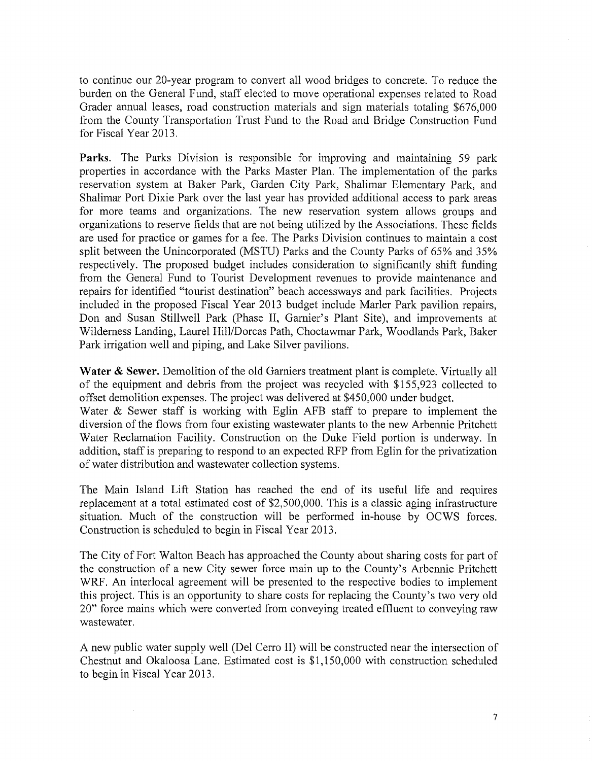to continue our 20-year program to convert all wood bridges to concrete. To reduce the burden on the General Fund, staff elected to move operational expenses related to Road Grader annual leases, road construction materials and sign materials totaling \$676,000 from the County Transportation Trust Fund to the Road and Bridge Construction Fund for Fiscal Year 2013.

**Parks.** The Parks Division is responsible for improving and maintaining 59 park properties in accordance with the Parks Master Plan. The implementation of the parks reservation system at Baker Park, Garden City Park, Shalimar Elementary Park, and Shalimar Port Dixie Park over the last year has provided additional access to park areas for more teams and organizations. The new reservation system allows groups and organizations to reserve fields that are not being utilized by the Associations. These fields are used for practice or games for a fee. The Parks Division continues to maintain a cost split between the Unincorporated (MSTU) Parks and the County Parks of 65% and 35% respectively. The proposed budget includes consideration to significantly shift funding from the General Fund to Tourist Development revenues to provide maintenance and repairs for identified "tourist destination" beach accessways and park facilities. Projects included in the proposed Fiscal Year 2013 budget include Marler Park pavilion repairs, Don and Susan Stillwell Park (Phase II, Garnier's Plant Site), and improvements at Wilderness Landing, Laurel Hill/Dorcas Path, Choctawmar Park, Woodlands Park, Baker Park irrigation well and piping, and Lake Silver pavilions.

Water & Sewer. Demolition of the old Garniers treatment plant is complete. Virtually all of the equipment and debris from the project was recycled with \$155,923 collected to offset demolition expenses. The project was delivered at \$450,000 under budget. Water & Sewer staff is working with Eglin AFB staff to prepare to implement the diversion of the flows from four existing wastewater plants to the new Arbennie Pritchett Water Reclamation Facility. Construction on the Duke Field portion is underway. In addition, staff is preparing to respond to an expected RFP from Eglin for the privatization of water distribution and wastewater collection systems.

The Main Island Lift Station has reached the end of its useful life and requires replacement at a total estimated cost of \$2,500,000. This is a classic aging infrastructure situation. Much of the construction will be performed in-house by OCWS forces. Construction is scheduled to begin in Fiscal Year 2013.

The City of Fort Walton Beach has approached the County about sharing costs for part of the construction of a new City sewer force main up to the County's Arbennie Pritchett WRF. An interlocal agreement will be presented to the respective bodies to implement this project. This is an opportunity to share costs for replacing the County's two very old 20" force mains which were converted from conveying treated effluent to conveying raw wastewater.

A new public water supply well (Del Cerro II) will be constructed near the intersection of Chestnut and Okaloosa Lane. Estimated cost is \$1,150,000 with construction scheduled to begin in Fiscal Year 2013.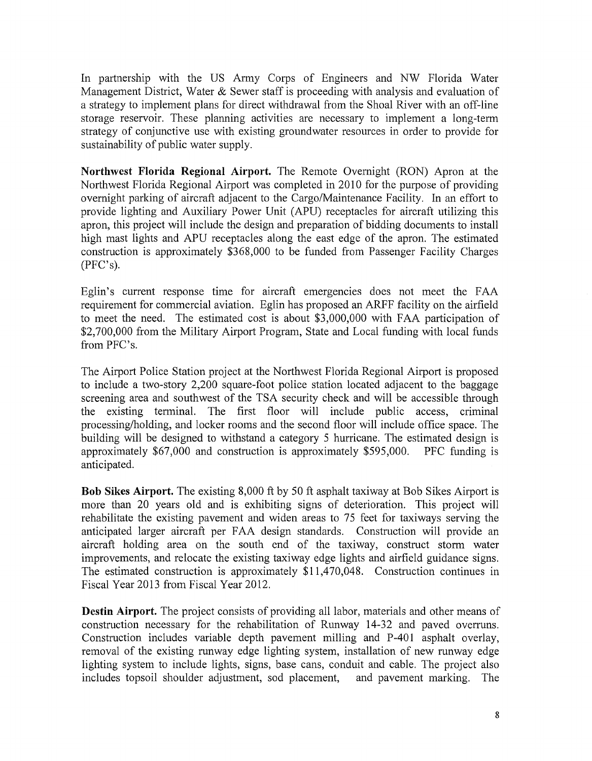In partnership with the US Army Corps of Engineers and NW Florida Water Management District, Water & Sewer staff is proceeding with analysis and evaluation of a strategy to implement plans for direct withdrawal from the Shoal River with an off-line storage reservoir. These planning activities are necessary to implement a long-term strategy of conjunctive use with existing groundwater resources in order to provide for sustainability of public water supply.

**Northwest Florida Regional Airport.** The Remote Overnight (RON) Apron at the Northwest Florida Regional Airport was completed in 2010 for the purpose of providing overnight parking of aircraft adjacent to the Cargo/Maintenance Facility. In an effort to provide lighting and Auxiliary Power Unit (APU) receptacles for aircraft utilizing this apron, this project will include the design and preparation of bidding documents to install high mast lights and APU receptacles along the east edge of the apron. The estimated construction is approximately \$368,000 to be funded from Passenger Facility Charges (PFC's).

Eglin's current response time for aircraft emergencies does not meet the FAA requirement for commercial aviation. Eglin has proposed an ARFF facility on the airfield to meet the need. The estimated cost is about \$3,000,000 with FAA participation of \$2,700,000 from the Military Airport Program, State and Local funding with local funds from PFC's.

The Airport Police Station project at the Northwest Florida Regional Airport is proposed to include a two-story 2,200 square-foot police station located adjacent to the baggage screening area and southwest of the TSA security check and will be accessible through the existing terminal. The first floor will include public access, criminal processing/holding, and locker rooms and the second floor will include office space. The building will be designed to withstand a category 5 hurricane. The estimated design is approximately \$67,000 and construction is approximately \$595,000. PFC funding is anticipated.

**Bob Sikes Airport.** The existing 8,000 ft by 50 ft asphalt taxiway at Bob Sikes Airport is more than 20 years old and is exhibiting signs of deterioration. This project will rehabilitate the existing pavement and widen areas to 75 feet for taxiways serving the anticipated larger aircraft per FAA design standards. Construction will provide an aircraft holding area on the south end of the taxiway, construct storm water improvements, and relocate the existing taxiway edge lights and airfield guidance signs. The estimated construction is approximately \$11,470,048. Construction continues in Fiscal Year 2013 from Fiscal Year 2012.

**Destin Airport.** The project consists of providing all labor, materials and other means of construction necessary for the rehabilitation of Runway 14-32 and paved overruns. Construction includes variable depth pavement milling and P-401 asphalt overlay, removal of the existing runway edge lighting system, installation of new runway edge lighting system to include lights, signs, base cans, conduit and cable. The project also includes topsoil shoulder adjustment, sod placement, and pavement marking. The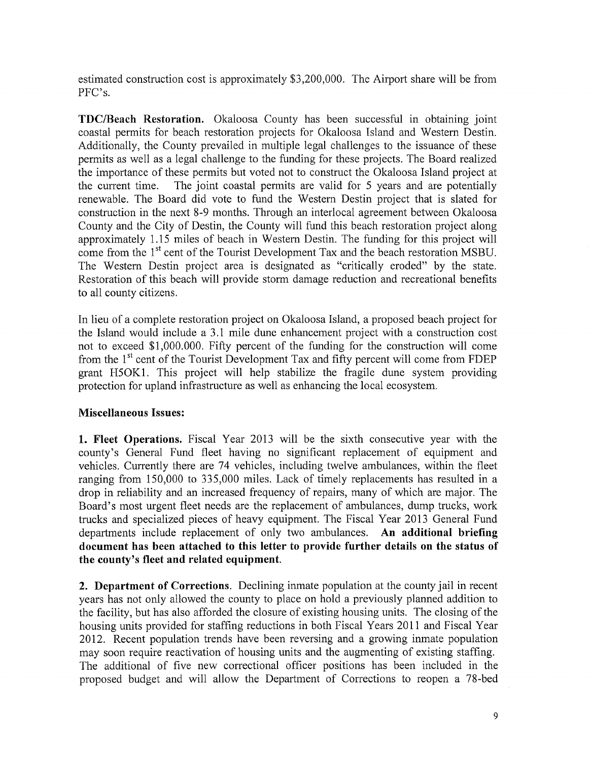estimated construction cost is approximately \$3,200,000. The Airport share will be from PFC's.

**TDC/Beach Restoration.** Okaloosa County has been successful in obtaining joint coastal permits for beach restoration projects for Okaloosa Island and Western Destin. Additionally, the County prevailed in multiple legal challenges to the issuance of these permits as well as a legal challenge to the funding for these projects. The Board realized the importance of these permits but voted not to construct the Okaloosa Island project at the current time. The joint coastal permits are valid for 5 years and are potentially renewable. The Board did vote to fund the Western Destin project that is slated for construction in the next 8-9 months. Through an interlocal agreement between Okaloosa County and the City of Destin, the County will fund this beach restoration project along approximately 1.15 miles of beach in Western Destin. The funding for this project will come from the 1<sup>st</sup> cent of the Tourist Development Tax and the beach restoration MSBU. The Western Destin project area is designated as "critically eroded" by the state. Restoration of this beach will provide storm damage reduction and recreational benefits to all county citizens.

In lieu of a complete restoration project on Okaloosa Island, a proposed beach project for the Island would include a 3.1 mile dune enhancement project with a construction cost not to exceed \$1,000.000. Fifty percent of the funding for the construction will come from the 1<sup>st</sup> cent of the Tourist Development Tax and fifty percent will come from FDEP grant H50Kl. This project will help stabilize the fragile dune system providing protection for upland infrastructure as well as enhancing the local ecosystem.

## **Miscellaneous Issues:**

**1. Fleet Operations.** Fiscal Year 2013 will be the sixth consecutive year with the county's General Fund fleet having no significant replacement of equipment and vehicles. Currently there are 74 vehicles, including twelve ambulances, within the fleet ranging from 150,000 to 335,000 miles. Lack of timely replacements has resulted in a drop in reliability and an increased frequency of repairs, many of which are major. The Board's most urgent fleet needs are the replacement of ambulances, dump trucks, work trucks and specialized pieces of heavy equipment. The Fiscal Year 2013 General Fund departments include replacement of only two ambulances. **An additional briefing document has been attached to this letter to provide further details on the status of the county's fleet and related equipment.** 

**2. Department of Corrections.** Declining inmate population at the county jail in recent years has not only allowed the county to place on hold a previously planned addition to the facility, but has also afforded the closure of existing housing units. The closing of the housing units provided for staffing reductions in both Fiscal Years 2011 and Fiscal Year 2012. Recent population trends have been reversing and a growing inmate population may soon require reactivation of housing units and the augmenting of existing staffing. The additional of five new correctional officer positions has been included in the proposed budget and will allow the Department of Corrections to reopen a 78-bed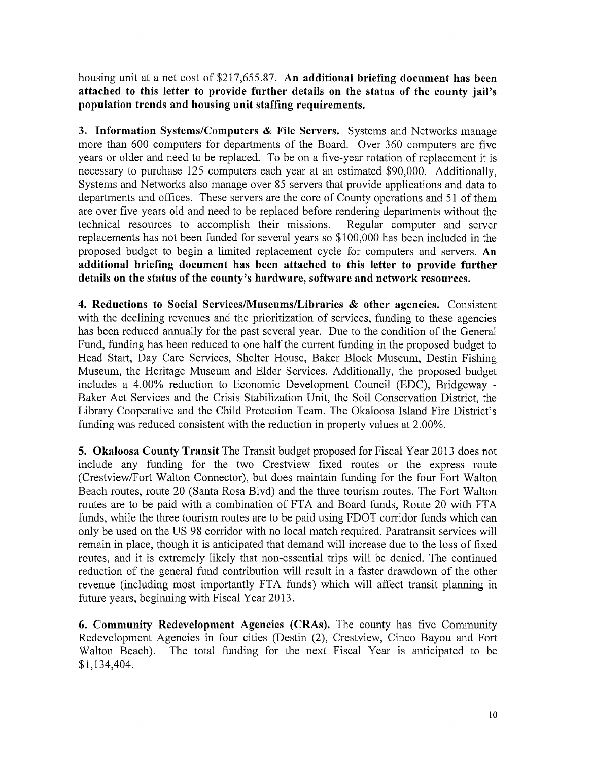housing unit at a net cost of \$217,655.87. **An additional briefing document has been attached to this letter to provide further details on the status of the county jail's population trends and housing unit staffing requirements.** 

**3. Information Systems/Computers & File Servers.** Systems and Networks manage more than 600 computers for departments of the Board. Over 360 computers are five years or older and need to be replaced. To be on a five-year rotation of replacement it is necessary to purchase 125 computers each year at an estimated \$90,000. Additionally, Systems and Networks also manage over 85 servers that provide applications and data to departments and offices. These servers are the core of County operations and 51 of them are over five years old and need to be replaced before rendering departments without the technical resources to accomplish their missions. Regular computer and server replacements has not been funded for several years so \$100,000 has been included in the proposed budget to begin a limited replacement cycle for computers and servers. **An additional briefing document has been attached to this letter to provide further details on the status of the county's hardware, software and network resources.** 

**4. Reductions to Social Services/Museums/Libraries & other agencies.** Consistent with the declining revenues and the prioritization of services, funding to these agencies has been reduced annually for the past several year. Due to the condition of the General Fund, funding has been reduced to one half the current funding in the proposed budget to Head Start, Day Care Services, Shelter House, Baker Block Museum, Destin Fishing Museum, the Heritage Museum and Elder Services. Additionally, the proposed budget includes a 4.00% reduction to Economic Development Council (EDC), Bridgeway Baker Act Services and the Crisis Stabilization Unit, the Soil Conservation District, the Library Cooperative and the Child Protection Team. The Okaloosa Island Fire District's funding was reduced consistent with the reduction in property values at 2.00%.

**5. Okaloosa County Transit** The Transit budget proposed for Fiscal Year 2013 does not include any funding for the two Crestview fixed routes or the express route (Crestview/Fort Walton Connector), but does maintain funding for the four Fort Walton Beach routes, route 20 (Santa Rosa Blvd) and the three tourism routes. The Fort Walton routes are to be paid with a combination of FTA and Board funds, Route 20 with FTA funds, while the three tourism routes are to be paid using FDOT corridor funds which can only be used on the US 98 corridor with no local match required. Paratransit services will remain in place, though it is anticipated that demand will increase due to the loss of fixed routes, and it is extremely likely that non-essential trips will be denied. The continued reduction of the general fund contribution will result in a faster drawdown of the other revenue (including most importantly FTA funds) which will affect transit planning in future years, beginning with Fiscal Year 2013.

**6. Community Redevelopment Agencies (CRAs).** The county has five Community Redevelopment Agencies in four cities (Destin (2), Crestview, Cinco Bayou and Fort Walton Beach). The total funding for the next Fiscal Year is anticipated to be \$1,134,404.